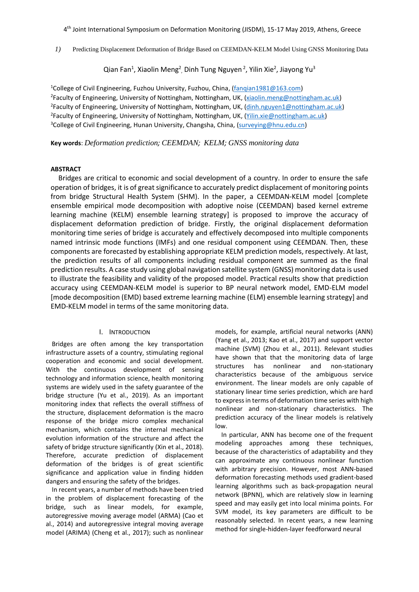4 th Joint International Symposium on Deformation Monitoring (JISDM), 15-17 May 2019, Athens, Greece

*1)* Predicting Displacement Deformation of Bridge Based on CEEMDAN-KELM Model Using GNSS Monitoring Data

Qian Fan<sup>1</sup>, Xiaolin Meng<sup>2</sup>, Dinh Tung Nguyen <sup>2</sup>, Yilin Xie<sup>2</sup>, Jiayong Yu<sup>3</sup>

<sup>1</sup>College of Civil Engineering, Fuzhou University, Fuzhou, China, [\(fanqian1981@163.com\)](mailto:fanqian1981@163.com) <sup>2</sup>Faculty of Engineering, University of Nottingham, Nottingham, UK, (<u>xiaolin.meng@nottingham.ac.uk</u>) <sup>2</sup>Faculty of Engineering, University of Nottingham, Nottingham, UK, (<u>dinh.nguyen1@nottingham.ac.uk</u>) <sup>2</sup>Faculty of Engineering, University of Nottingham, Nottingham, UK, (<u>Yilin.xie@nottingham.ac.uk</u>) <sup>3</sup>College of Civil Engineering, Hunan University, Changsha, China, (surveying@hnu.edu.cn)

**Key words**: *Deformation prediction; CEEMDAN; KELM; GNSS monitoring data*

### **ABSTRACT**

Bridges are critical to economic and social development of a country. In order to ensure the safe operation of bridges, it is of great significance to accurately predict displacement of monitoring points from bridge Structural Health System (SHM). In the paper, a CEEMDAN-KELM model [complete ensemble empirical mode decomposition with adoptive noise (CEEMDAN) based kernel extreme learning machine (KELM) ensemble learning strategy] is proposed to improve the accuracy of displacement deformation prediction of bridge. Firstly, the original displacement deformation monitoring time series of bridge is accurately and effectively decomposed into multiple components named intrinsic mode functions (IMFs) and one residual component using CEEMDAN. Then, these components are forecasted by establishing appropriate KELM prediction models, respectively. At last, the prediction results of all components including residual component are summed as the final prediction results. A case study using global navigation satellite system (GNSS) monitoring data is used to illustrate the feasibility and validity of the proposed model. Practical results show that prediction accuracy using CEEMDAN-KELM model is superior to BP neural network model, EMD-ELM model [mode decomposition (EMD) based extreme learning machine (ELM) ensemble learning strategy] and EMD-KELM model in terms of the same monitoring data.

### I. INTRODUCTION

Bridges are often among the key transportation infrastructure assets of a country, stimulating regional cooperation and economic and social development. With the continuous development of sensing technology and information science, health monitoring systems are widely used in the safety guarantee of the bridge structure (Yu et al., 2019). As an important monitoring index that reflects the overall stiffness of the structure, displacement deformation is the macro response of the bridge micro complex mechanical mechanism, which contains the internal mechanical evolution information of the structure and affect the safety of bridge structure significantly (Xin et al., 2018). Therefore, accurate prediction of displacement deformation of the bridges is of great scientific significance and application value in finding hidden dangers and ensuring the safety of the bridges.

In recent years, a number of methods have been tried in the problem of displacement forecasting of the bridge, such as linear models, for example, autoregressive moving average model (ARMA) (Cao et al., 2014) and autoregressive integral moving average model (ARIMA) (Cheng et al., 2017); such as nonlinear models, for example, artificial neural networks (ANN) (Yang et al., 2013; Kao et al., 2017) and support vector machine (SVM) (Zhou et al., 2011). Relevant studies have shown that that the monitoring data of large structures has nonlinear and non-stationary characteristics because of the ambiguous service environment. The linear models are only capable of stationary linear time series prediction, which are hard to express in terms of deformation time series with high nonlinear and non-stationary characteristics. The prediction accuracy of the linear models is relatively low.

In particular, ANN has become one of the frequent modeling approaches among these techniques, because of the characteristics of adaptability and they can approximate any continuous nonlinear function with arbitrary precision. However, most ANN-based deformation forecasting methods used gradient-based learning algorithms such as back-propagation neural network (BPNN), which are relatively slow in learning speed and may easily get into local minima points. For SVM model, its key parameters are difficult to be reasonably selected. In recent years, a new learning method for single-hidden-layer feedforward neural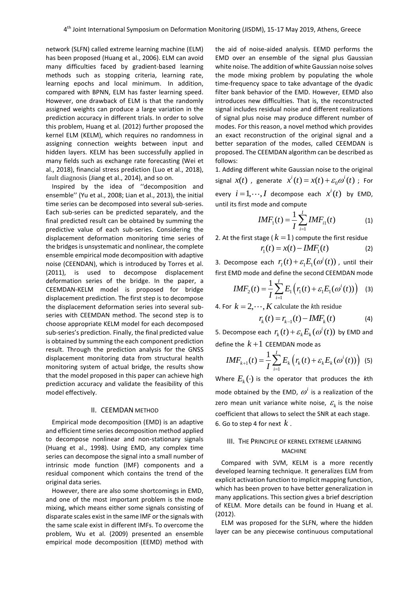network (SLFN) called extreme learning machine (ELM) has been proposed (Huang et al., 2006). ELM can avoid many difficulties faced by gradient-based learning methods such as stopping criteria, learning rate, learning epochs and local minimum. In addition, compared with BPNN, ELM has faster learning speed. However, one drawback of ELM is that the randomly assigned weights can produce a large variation in the prediction accuracy in different trials. In order to solve this problem, Huang et al. (2012) further proposed the kernel ELM (KELM), which requires no randomness in assigning connection weights between input and hidden layers. KELM has been successfully applied in many fields such as exchange rate forecasting (Wei et al., 2018), financial stress prediction (Luo et al., 2018), fault diagnosis (Jiang et al., 2014), and so on.

Inspired by the idea of ''decomposition and ensemble'' (Yu et al., 2008; Lian et al., 2013), the initial time series can be decomposed into several sub-series. Each sub-series can be predicted separately, and the final predicted result can be obtained by summing the predictive value of each sub-series. Considering the displacement deformation monitoring time series of the bridges is unsystematic and nonlinear, the complete ensemble empirical mode decomposition with adaptive noise (CEENDAN), which is introduced by Torres et al. (2011), is used to decompose displacement deformation series of the bridge. In the paper, a CEEMDAN-KELM model is proposed for bridge displacement prediction. The first step is to decompose the displacement deformation series into several subseries with CEEMDAN method. The second step is to choose appropriate KELM model for each decomposed sub-series's prediction. Finally, the final predicted value is obtained by summing the each component prediction result. Through the prediction analysis for the GNSS displacement monitoring data from structural health monitoring system of actual bridge, the results show that the model proposed in this paper can achieve high prediction accuracy and validate the feasibility of this model effectively.

### II. CEEMDAN METHOD

Empirical mode decomposition (EMD) is an adaptive and efficient time series decomposition method applied to decompose nonlinear and non-stationary signals (Huang et al., 1998). Using EMD, any complex time series can decompose the signal into a small number of intrinsic mode function (IMF) components and a residual component which contains the trend of the original data series.

However, there are also some shortcomings in EMD, and one of the most important problem is the mode mixing, which means either some signals consisting of disparate scales exist in the same IMF or the signals with the same scale exist in different IMFs. To overcome the problem, Wu et al. (2009) presented an ensemble empirical mode decomposition (EEMD) method with the aid of noise-aided analysis. EEMD performs the EMD over an ensemble of the signal plus Gaussian white noise. The addition of white Gaussian noise solves the mode mixing problem by populating the whole time-frequency space to take advantage of the dyadic filter bank behavior of the EMD. However, EEMD also introduces new difficulties. That is, the reconstructed signal includes residual noise and different realizations of signal plus noise may produce different number of modes. For this reason, a novel method which provides an exact reconstruction of the original signal and a better separation of the modes, called CEEMDAN is proposed. The CEEMDAN algorithm can be described as follows:

1. Adding different white Gaussian noise to the original signal  $x(t)$  , generate  $x^{i}(t) = x(t) + \varepsilon_0 \omega^{i}(t)$  ; For every  $i = 1, \dots, I$  decompose each  $x^{i}(t)$  by EMD, until its first mode and compute

$$
IMF_1(t) = \frac{1}{I} \sum_{i=1}^{I} IMF_{i1}(t)
$$
 (1)

2. At the first stage (  $k=1$  ) compute the first residue

$$
r_1(t) = x(t) - IMF_1(t)
$$
 (2)

3. Decompose each  $r_I(t) + \varepsilon_1 E_1(\omega^i(t))$  , until their

first EMD mode and define the second CEEMDAN mode  
\n
$$
IMF_2(t) = \frac{1}{I} \sum_{i=1}^{I} E_1 (r_1(t) + \varepsilon_1 E_1(\omega^i(t)))
$$
\n(3)

4. For  $k = 2, \dots, K$  calculate the *k*th residue

$$
r_{k}(t) = r_{k-1}(t) - IMF_{k}(t)
$$
 (4)

5. Decompose each  $r_k(t) + \varepsilon_k E_k(\omega^i(t))$  by EMD and define the  $k+1$  CEEMDAN mode as

$$
IMF_{k+1}(t) = \frac{1}{I} \sum_{i=1}^{I} E_k \left( r_k(t) + \varepsilon_k E_k(\omega^i(t)) \right)
$$
 (5)

Where  $E_k(\cdot)$  is the operator that produces the *k*th mode obtained by the EMD,  $\omega^i$  is a realization of the zero mean unit variance white noise,  $\varepsilon_{\mathrm{\mathit{k}}}$  is the noise coefficient that allows to select the SNR at each stage. 6. Go to step 4 for next *k* .

# III. THE PRINCIPLE OF KERNEL EXTREME LEARNING MACHINE

Compared with SVM, KELM is a more recently developed learning technique. It generalizes ELM from explicit activation function to implicit mapping function, which has been proven to have better generalization in many applications. This section gives a brief description of KELM. More details can be found in Huang et al. (2012).

ELM was proposed for the SLFN, where the hidden layer can be any piecewise continuous computational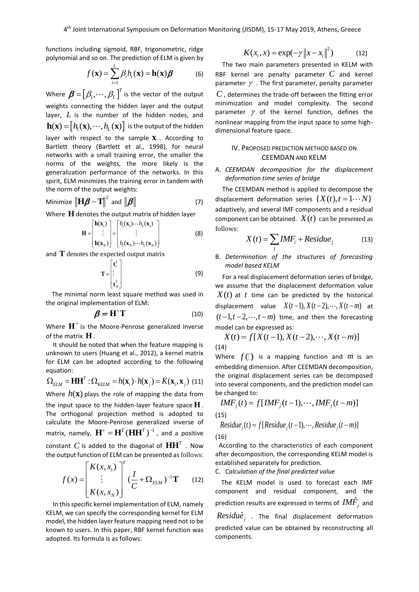functions including sigmoid, RBF, trigonometric, ridge polynomial and so on. The prediction of ELM is given by

$$
f(\mathbf{x}) = \sum_{i=1}^{L} \beta_i h_i(\mathbf{x}) = \mathbf{h}(\mathbf{x})\boldsymbol{\beta}
$$
 (6)

Where  $\boldsymbol{\beta} = \left[\beta_1, \cdots, \beta_L \right]^T$  is the vector of the output weights connecting the hidden layer and the output layer,  $L$  is the number of the hidden nodes, and  $\mathbf{h}(\mathbf{x}) = [h_1(\mathbf{x}), \cdots, h_L(\mathbf{x})]$  is the output of the hidden layer with respect to the sample **x** . According to Bartlett theory (Bartlett et al., 1998), for neural networks with a small training error, the smaller the norms of the weights, the more likely is the generalization performance of the networks. In this spirit, ELM minimizes the training error in tandem with the norm of the output weights:

$$
\text{Minimize } \|\mathbf{H}\boldsymbol{\beta} - \mathbf{T}\|^2 \text{ and } \|\boldsymbol{\beta}\| \tag{7}
$$

Where **H** denotes the output matrix of hidden layer

$$
\mathbf{H} = \begin{bmatrix} \mathbf{h}(\mathbf{x}_1) \\ \vdots \\ \mathbf{h}(\mathbf{x}_N) \end{bmatrix} = \begin{bmatrix} h_1(\mathbf{x}_1) \cdots h_L(\mathbf{x}_1) \\ \vdots \\ h_1(\mathbf{x}_N) \cdots h_L(\mathbf{x}_N) \end{bmatrix}
$$
(8)

and **T** denotes the expected output matrix

$$
\mathbf{T} = \begin{bmatrix} \mathbf{t}_1^T \\ \vdots \\ \mathbf{t}_N^T \end{bmatrix}
$$
 (9)

The minimal norm least square method was used in the original implementation of ELM:

$$
\beta = H^{\dagger}T \tag{10}
$$

Where  $\mathbf{H}^+$  is the Moore-Penrose generalized inverse of the matrix **H** .

It should be noted that when the feature mapping is unknown to users (Huang et al., 2012), a kernel matrix for ELM can be adopted according to the following equation:

equation:  
\n
$$
\Omega_{ELM} = \mathbf{HH}^T : \Omega_{KELM} = h(\mathbf{x}_i) \cdot h(\mathbf{x}_j) = K(\mathbf{x}_i, \mathbf{x}_j)
$$
 (11)

Where  $h({\bf x})$  plays the role of mapping the data from the input space to the hidden-layer feature space **H** . The orthogonal projection method is adopted to calculate the Moore-Penrose generalized inverse of matrix, namely,  $\textbf{H}^{\texttt{+}} = \textbf{H}^T(\textbf{H}\textbf{H}^T)^{-1}$  , and a positive constant  $C$  is added to the diagonal of  $\mathbf{H}\mathbf{H}^T$  . Now

the output function of ELM can be presented as follows:  
\n
$$
f(x) = \begin{bmatrix} K(x, x_1) \\ \vdots \\ K(x, x_N) \end{bmatrix}^T (\frac{I}{C} + \Omega_{ELM})^{-1} \mathbf{T}
$$
\n(12)

In this specific kernel implementation of ELM, namely KELM, we can specify the corresponding kernel for ELM model, the hidden layer feature mapping need not to be known to users. In this paper, RBF kernel function was adopted. Its formula is as follows:

$$
K(x_i, x) = \exp(-\gamma \|x - x_i\|^2)
$$
 (12)

The two main parameters presented in KELM with RBF kernel are penalty parameter *C* and kernel parameter  $\gamma$  . The first parameter, penalty parameter *C* , determines the trade-off between the fitting error minimization and model complexity. The second parameter  $\gamma$  of the kernel function, defines the nonlinear mapping from the input space to some highdimensional feature space.

# IV. PROPOSED PREDICTION METHOD BASED ON CEEMDAN AND KELM

## A. *CEEMDAN decomposition for the displacement deformation time series of bridge*

The CEEMDAN method is applied to decompose the displacement deformation series  $\{X(t), t = 1 \cdots N\}$ adaptively, and several IMF components and a residual component can be obtained.  $X(t)$  can be presented as follows:

$$
X(t) = \sum_{j} IMF_i + Residue_j \tag{13}
$$

B. *Determination of the structures of forecasting model based KELM*

For a real displacement deformation series of bridge, we assume that the displacement deformation value  $X(t)$  at t time can be predicted by the historical displacement value  $X(t-1), X(t-2), \cdots, X(t-m)$  at  $(t - 1, t - 2, \dots, t - m)$  time, and then the forecasting model can be expressed as:<br> $X(t) = f[X(t-1), X(t-2), \dots, X(t-m)]$ 

$$
X(t) = f[X(t-1), X(t-2), \cdots, X(t-m)]
$$
\n(14)

Where  $f($ ) is a mapping function and  $m$  is an embedding dimension. After CEEMDAN decomposition, the original displacement series can be decomposed into several components, and the prediction model can be changed to:

the general components, and the preattention model, etc.  
\n
$$
IMF_j(t) = f[IMF_j(t-1), \cdots, IMF_j(t-m)]
$$
\n(15)  
\nResidue<sub>j</sub>(t) = f[Residue<sub>j</sub>(t-1), \cdots, Residue<sub>j</sub>(t-m)]

Residue<sub>j</sub>(t) = 
$$
f[Residue_j(t-1), \cdots, Residue_j(t-m)]
$$

(16)

According to the characteristics of each component after decomposition, the corresponding KELM model is established separately for prediction.

C. *Calculation of the final predicted value*

The KELM model is used to forecast each IMF component and residual component, and the prediction results are expressed in terms of  $\mathit{IMF}_{_f}$  and

 $\textit{Residu} \hat{e}^{\phantom{\dagger}}_j$  . The final displacement deformation predicted value can be obtained by reconstructing all components.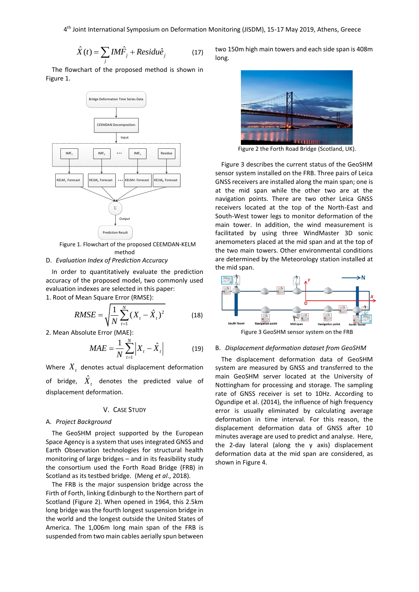4 th Joint International Symposium on Deformation Monitoring (JISDM), 15-17 May 2019, Athens, Greece

$$
\hat{X}(t) = \sum_{j} I M \hat{F}_{j} + Residu \hat{e}_{j}
$$
 (17)

The flowchart of the proposed method is shown in Figure 1.



Figure 1. Flowchart of the proposed CEEMDAN-KELM method

### D. *Evaluation Index of Prediction Accuracy*

In order to quantitatively evaluate the prediction accuracy of the proposed model, two commonly used evaluation indexes are selected in this paper: 1. Root of Mean Square Error (RMSE):

$$
RMSE = \sqrt{\frac{1}{N} \sum_{t=1}^{N} (X_t - \hat{X}_t)^2}
$$
(18)

2. Mean Absolute Error (MAE):

$$
MAE = \frac{1}{N} \sum_{t=1}^{N} \left| X_t - \hat{X}_t \right|
$$
 (19)

Where  $\boldsymbol{X}_t$  denotes actual displacement deformation of bridge,  $\hat{X}_t$  denotes the predicted value of displacement deformation.

### V. CASE STUDY

### A. *Project Background*

The GeoSHM project supported by the European Space Agency is a system that uses integrated GNSS and Earth Observation technologies for structural health monitoring of large bridges – and in its feasibility study the consortium used the Forth Road Bridge (FRB) in Scotland as its testbed bridge. (Meng *et al*., 2018).

The FRB is the major suspension bridge across the Firth of Forth, linking Edinburgh to the Northern part of Scotland (Figure 2). When opened in 1964, this 2.5km long bridge was the fourth longest suspension bridge in the world and the longest outside the United States of America. The 1,006m long main span of the FRB is suspended from two main cables aerially spun between

two 150m high main towers and each side span is 408m long.



Figure 2 the Forth Road Bridge (Scotland, UK).

Figure 3 describes the current status of the GeoSHM sensor system installed on the FRB. Three pairs of Leica GNSS receivers are installed along the main span; one is at the mid span while the other two are at the navigation points. There are two other Leica GNSS receivers located at the top of the North-East and South-West tower legs to monitor deformation of the main tower. In addition, the wind measurement is facilitated by using three WindMaster 3D sonic anemometers placed at the mid span and at the top of the two main towers. Other environmental conditions are determined by the Meteorology station installed at the mid span.



Figure 3 GeoSHM sensor system on the FRB

### B. *Displacement deformation dataset from GeoSHM*

The displacement deformation data of GeoSHM system are measured by GNSS and transferred to the main GeoSHM server located at the University of Nottingham for processing and storage. The sampling rate of GNSS receiver is set to 10Hz. According to Ogundipe et al. (2014), the influence of high frequency error is usually eliminated by calculating average deformation in time interval. For this reason, the displacement deformation data of GNSS after 10 minutes average are used to predict and analyse. Here, the 2-day lateral (along the y axis) displacement deformation data at the mid span are considered, as shown in Figure 4.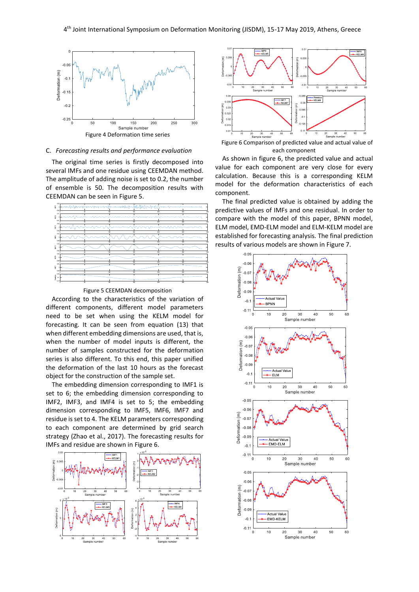

### C. *Forecasting results and performance evaluation*

The original time series is firstly decomposed into several IMFs and one residue using CEEMDAN method. The amplitude of adding noise is set to 0.2, the number of ensemble is 50. The decomposition results with CEEMDAN can be seen in Figure 5.



Figure 5 CEEMDAN decomposition

According to the characteristics of the variation of different components, different model parameters need to be set when using the KELM model for forecasting. It can be seen from equation (13) that when different embedding dimensions are used, that is, when the number of model inputs is different, the number of samples constructed for the deformation series is also different. To this end, this paper unified the deformation of the last 10 hours as the forecast object for the construction of the sample set.

The embedding dimension corresponding to IMF1 is set to 6; the embedding dimension corresponding to IMF2, IMF3, and IMF4 is set to 5; the embedding dimension corresponding to IMF5, IMF6, IMF7 and residue is set to 4. The KELM parameters corresponding to each component are determined by grid search strategy (Zhao et al., 2017). The forecasting results for IMFs and residue are shown in Figure 6.





Figure 6 Comparison of predicted value and actual value of each component

As shown in figure 6, the predicted value and actual value for each component are very close for every calculation. Because this is a corresponding KELM model for the deformation characteristics of each component.

The final predicted value is obtained by adding the predictive values of IMFs and one residual. In order to compare with the model of this paper, BPNN model, ELM model, EMD-ELM model and ELM-KELM model are established for forecasting analysis. The final prediction results of various models are shown in Figure 7.

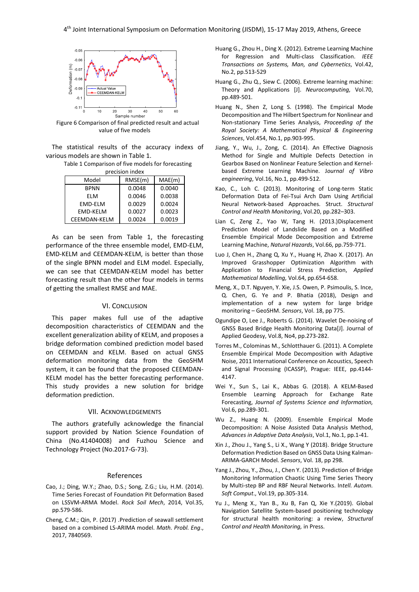

Figure 6 Comparison of final predicted result and actual value of five models

The statistical results of the accuracy indexs of various models are shown in Table 1.

> Table 1 Comparison of five models for forecasting procision indox

| אסווו וועוכרואו ה |         |        |
|-------------------|---------|--------|
| Model             | RMSE(m) | MAE(m) |
| <b>BPNN</b>       | 0.0048  | 0.0040 |
| FI M              | 0.0046  | 0.0038 |
| EMD-ELM           | 0.0029  | 0.0024 |
| EMD-KELM          | 0.0027  | 0.0023 |
| CEEMDAN-KELM      | 0.0024  | 0.0019 |

As can be seen from Table 1, the forecasting performance of the three ensemble model, EMD-ELM, EMD-KELM and CEEMDAN-KELM, is better than those of the single BPNN model and ELM model. Especially, we can see that CEEMDAN-KELM model has better forecasting result than the other four models in terms of getting the smallest RMSE and MAE.

## VI. CONCLUSION

This paper makes full use of the adaptive decomposition characteristics of CEEMDAN and the excellent generalization ability of KELM, and proposes a bridge deformation combined prediction model based on CEEMDAN and KELM. Based on actual GNSS deformation monitoring data from the GeoSHM system, it can be found that the proposed CEEMDAN-KELM model has the better forecasting performance. This study provides a new solution for bridge deformation prediction.

#### VII. ACKNOWLEDGEMENTS

The authors gratefully acknowledge the financial support provided by Nation Science Foundation of China (No.41404008) and Fuzhou Science and Technology Project (No.2017-G-73).

#### References

- Cao, J.; Ding, W.Y.; Zhao, D.S.; Song, Z.G.; Liu, H.M. (2014). Time Series Forecast of Foundation Pit Deformation Based on LSSVM-ARMA Model. *Rock Soil Mech*, 2014, Vol.35, pp.579-586.
- Cheng, C.M.; Qin, P. (2017) .Prediction of seawall settlement based on a combined LS-ARIMA model. *Math. Probl. Eng*., 2017, 7840569.
- Huang G., Zhou H., Ding X. (2012). Extreme Learning Machine for Regression and Multi-class Classification. *IEEE Transactions on Systems, Man, and Cybernetics*, Vol.42, No.2, pp.513-529
- Huang G., Zhu Q., Siew C. (2006). Extreme learning machine: Theory and Applications [J]. *Neurocomputing,* Vol.70, pp.489-501.
- Huang N., Shen Z, Long S. (1998). The Empirical Mode Decomposition and The Hilbert Spectrum for Nonlinear and Non-stationary Time Series Analysis, *Proceeding of the Royal Society: A Mathematical Physical & Engineering Sciences*, Vol.454, No.1, pp.903-995.
- Jiang, Y., Wu, J., Zong, C. (2014). An Effective Diagnosis Method for Single and Multiple Defects Detection in Gearbox Based on Nonlinear Feature Selection and Kernelbased Extreme Learning Machine. J*ournal of Vibro engineering*, Vol.16, No.1, pp.499-512.
- Kao, C., Loh C. (2013). Monitoring of Long-term Static Deformation Data of Fei-Tsui Arch Dam Using Artificial Neural Network-based Approaches. Struct. *Structural Control and Health Monitoring*, Vol.20, pp.282–303.
- Lian C, Zeng Z., Yao W, Tang H. (2013.)Displacement Prediction Model of Landslide Based on a Modified Ensemble Empirical Mode Decomposition and Extreme Learning Machine, *Natural Hazards*, Vol.66, pp.759-771.
- Luo J, Chen H., Zhang Q, Xu Y., Huang H, Zhao X. (2017). An Improved Grasshopper Optimization Algorithm with Application to Financial Stress Prediction, *Applied Mathematical Modelling,* Vol.64, pp.654-658.
- Meng, X., D.T. Nguyen, Y. Xie, J.S. Owen, P. Psimoulis, S. Ince, Q. Chen, G. Ye and P. Bhatia (2018), Design and implementation of a new system for large bridge monitoring – GeoSHM. *Sensors*, Vol. 18, pp 775.
- Ogundipe O, Lee J., Roberts G. (2014). Wavelet De-noising of GNSS Based Bridge Health Monitoring Data[J]. Journal of Applied Geodesy, Vol.8, No4, pp.273-282.
- Torres M., Colominas M., Schlotthauer G. (2011). A Complete Ensemble Empirical Mode Decomposition with Adaptive Noise, 2011 International Conference on Acoustics, Speech and Signal Processing (ICASSP), Prague: IEEE, pp.4144- 4147.
- Wei Y., Sun S., Lai K., Abbas G. (2018). A KELM-Based Ensemble Learning Approach for Exchange Rate Forecasting, *Journal of Systems Science and Information,* Vol.6, pp.289-301.
- Wu Z., Huang N. (2009). Ensemble Empirical Mode Decomposition: A Noise Assisted Data Analysis Method, *Advances in Adaptive Data Analysis*, Vol.1, No.1, pp.1-41.
- Xin J., Zhou J., Yang S., Li X., Wang Y (2018). Bridge Structure Deformation Prediction Based on GNSS Data Using Kalman-ARIMA-GARCH Model*. Sensors*, Vol. 18, pp 298.
- Yang J., Zhou, Y., Zhou, J., Chen Y. (2013). Prediction of Bridge Monitoring Information Chaotic Using Time Series Theory by Multi-step BP and RBF Neural Networks. In*tell. Autom. Soft Comput*., Vol.19, pp.305-314.
- Yu J., Meng X., Yan B., Xu B, Fan Q, Xie Y.(2019). Global Navigation Satellite System-based positioning technology for structural health monitoring: a review, *Structural Control and Health Monitoring,* in Press.